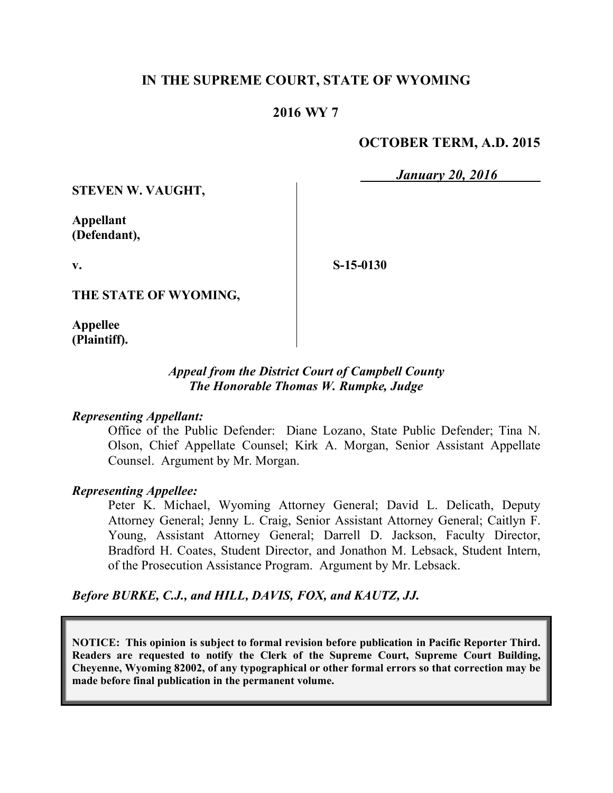### **IN THE SUPREME COURT, STATE OF WYOMING**

### **2016 WY 7**

## **OCTOBER TERM, A.D. 2015**

*January 20, 2016*

**STEVEN W. VAUGHT,**

**Appellant (Defendant),**

**v.**

**S-15-0130**

**THE STATE OF WYOMING,**

**Appellee (Plaintiff).**

### *Appeal from the District Court of Campbell County The Honorable Thomas W. Rumpke, Judge*

#### *Representing Appellant:*

Office of the Public Defender: Diane Lozano, State Public Defender; Tina N. Olson, Chief Appellate Counsel; Kirk A. Morgan, Senior Assistant Appellate Counsel. Argument by Mr. Morgan.

#### *Representing Appellee:*

Peter K. Michael, Wyoming Attorney General; David L. Delicath, Deputy Attorney General; Jenny L. Craig, Senior Assistant Attorney General; Caitlyn F. Young, Assistant Attorney General; Darrell D. Jackson, Faculty Director, Bradford H. Coates, Student Director, and Jonathon M. Lebsack, Student Intern, of the Prosecution Assistance Program. Argument by Mr. Lebsack.

*Before BURKE, C.J., and HILL, DAVIS, FOX, and KAUTZ, JJ.*

**NOTICE: This opinion is subject to formal revision before publication in Pacific Reporter Third. Readers are requested to notify the Clerk of the Supreme Court, Supreme Court Building, Cheyenne, Wyoming 82002, of any typographical or other formal errors so that correction may be made before final publication in the permanent volume.**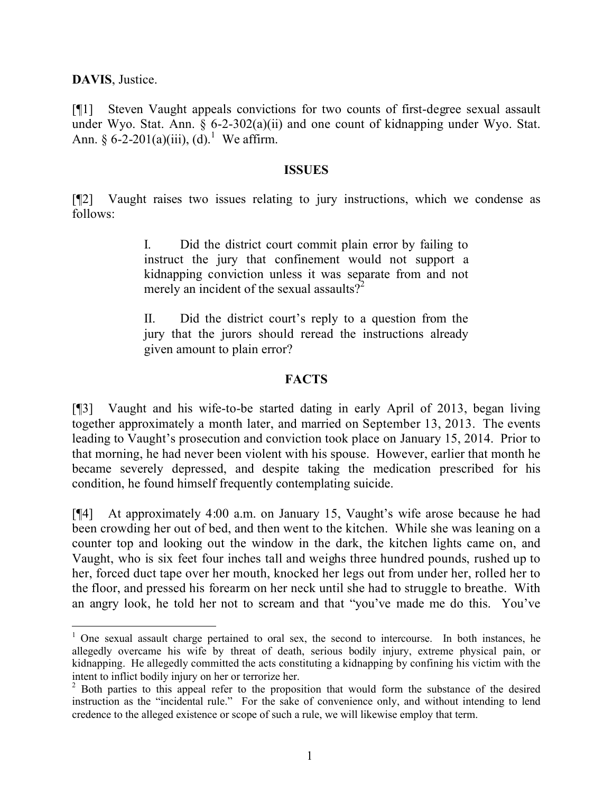**DAVIS**, Justice.

 $\overline{a}$ 

[¶1] Steven Vaught appeals convictions for two counts of first-degree sexual assault under Wyo. Stat. Ann. § 6-2-302(a)(ii) and one count of kidnapping under Wyo. Stat. Ann. § 6-2-201(a)(iii), (d).<sup>1</sup> We affirm.

#### **ISSUES**

[¶2] Vaught raises two issues relating to jury instructions, which we condense as follows:

> I. Did the district court commit plain error by failing to instruct the jury that confinement would not support a kidnapping conviction unless it was separate from and not merely an incident of the sexual assaults?<sup>2</sup>

> II. Did the district court's reply to a question from the jury that the jurors should reread the instructions already given amount to plain error?

### **FACTS**

[¶3] Vaught and his wife-to-be started dating in early April of 2013, began living together approximately a month later, and married on September 13, 2013. The events leading to Vaught's prosecution and conviction took place on January 15, 2014. Prior to that morning, he had never been violent with his spouse. However, earlier that month he became severely depressed, and despite taking the medication prescribed for his condition, he found himself frequently contemplating suicide.

[¶4] At approximately 4:00 a.m. on January 15, Vaught's wife arose because he had been crowding her out of bed, and then went to the kitchen. While she was leaning on a counter top and looking out the window in the dark, the kitchen lights came on, and Vaught, who is six feet four inches tall and weighs three hundred pounds, rushed up to her, forced duct tape over her mouth, knocked her legs out from under her, rolled her to the floor, and pressed his forearm on her neck until she had to struggle to breathe. With an angry look, he told her not to scream and that "you've made me do this. You've

 $1$  One sexual assault charge pertained to oral sex, the second to intercourse. In both instances, he allegedly overcame his wife by threat of death, serious bodily injury, extreme physical pain, or kidnapping. He allegedly committed the acts constituting a kidnapping by confining his victim with the intent to inflict bodily injury on her or terrorize her.

<sup>&</sup>lt;sup>2</sup> Both parties to this appeal refer to the proposition that would form the substance of the desired instruction as the "incidental rule." For the sake of convenience only, and without intending to lend credence to the alleged existence or scope of such a rule, we will likewise employ that term.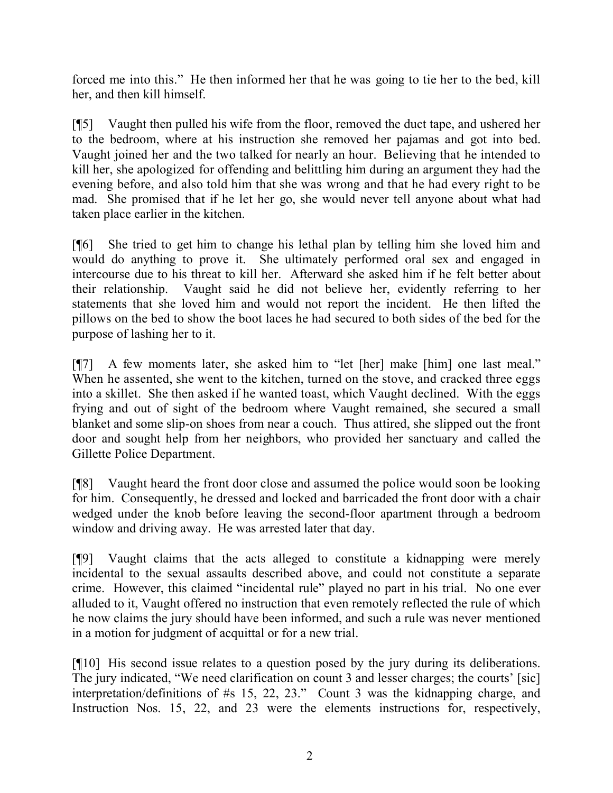forced me into this." He then informed her that he was going to tie her to the bed, kill her, and then kill himself.

[¶5] Vaught then pulled his wife from the floor, removed the duct tape, and ushered her to the bedroom, where at his instruction she removed her pajamas and got into bed. Vaught joined her and the two talked for nearly an hour. Believing that he intended to kill her, she apologized for offending and belittling him during an argument they had the evening before, and also told him that she was wrong and that he had every right to be mad. She promised that if he let her go, she would never tell anyone about what had taken place earlier in the kitchen.

[¶6] She tried to get him to change his lethal plan by telling him she loved him and would do anything to prove it. She ultimately performed oral sex and engaged in intercourse due to his threat to kill her. Afterward she asked him if he felt better about their relationship. Vaught said he did not believe her, evidently referring to her statements that she loved him and would not report the incident. He then lifted the pillows on the bed to show the boot laces he had secured to both sides of the bed for the purpose of lashing her to it.

[¶7] A few moments later, she asked him to "let [her] make [him] one last meal." When he assented, she went to the kitchen, turned on the stove, and cracked three eggs into a skillet. She then asked if he wanted toast, which Vaught declined. With the eggs frying and out of sight of the bedroom where Vaught remained, she secured a small blanket and some slip-on shoes from near a couch. Thus attired, she slipped out the front door and sought help from her neighbors, who provided her sanctuary and called the Gillette Police Department.

[¶8] Vaught heard the front door close and assumed the police would soon be looking for him. Consequently, he dressed and locked and barricaded the front door with a chair wedged under the knob before leaving the second-floor apartment through a bedroom window and driving away. He was arrested later that day.

[¶9] Vaught claims that the acts alleged to constitute a kidnapping were merely incidental to the sexual assaults described above, and could not constitute a separate crime. However, this claimed "incidental rule" played no part in his trial. No one ever alluded to it, Vaught offered no instruction that even remotely reflected the rule of which he now claims the jury should have been informed, and such a rule was never mentioned in a motion for judgment of acquittal or for a new trial.

[¶10] His second issue relates to a question posed by the jury during its deliberations. The jury indicated, "We need clarification on count 3 and lesser charges; the courts' [sic] interpretation/definitions of #s 15, 22, 23." Count 3 was the kidnapping charge, and Instruction Nos. 15, 22, and 23 were the elements instructions for, respectively,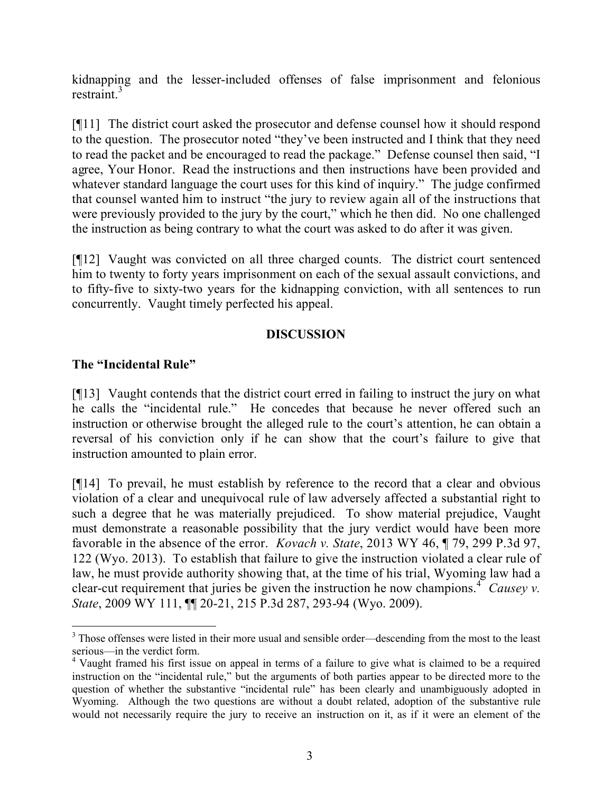kidnapping and the lesser-included offenses of false imprisonment and felonious restraint. $3$ 

[¶11] The district court asked the prosecutor and defense counsel how it should respond to the question. The prosecutor noted "they've been instructed and I think that they need to read the packet and be encouraged to read the package." Defense counsel then said, "I agree, Your Honor. Read the instructions and then instructions have been provided and whatever standard language the court uses for this kind of inquiry." The judge confirmed that counsel wanted him to instruct "the jury to review again all of the instructions that were previously provided to the jury by the court," which he then did. No one challenged the instruction as being contrary to what the court was asked to do after it was given.

[¶12] Vaught was convicted on all three charged counts. The district court sentenced him to twenty to forty years imprisonment on each of the sexual assault convictions, and to fifty-five to sixty-two years for the kidnapping conviction, with all sentences to run concurrently. Vaught timely perfected his appeal.

## **DISCUSSION**

## **The "Incidental Rule"**

[¶13] Vaught contends that the district court erred in failing to instruct the jury on what he calls the "incidental rule." He concedes that because he never offered such an instruction or otherwise brought the alleged rule to the court's attention, he can obtain a reversal of his conviction only if he can show that the court's failure to give that instruction amounted to plain error.

[¶14] To prevail, he must establish by reference to the record that a clear and obvious violation of a clear and unequivocal rule of law adversely affected a substantial right to such a degree that he was materially prejudiced. To show material prejudice, Vaught must demonstrate a reasonable possibility that the jury verdict would have been more favorable in the absence of the error. *Kovach v. State*, 2013 WY 46, ¶ 79, 299 P.3d 97, 122 (Wyo. 2013). To establish that failure to give the instruction violated a clear rule of law, he must provide authority showing that, at the time of his trial, Wyoming law had a clear-cut requirement that juries be given the instruction he now champions.<sup>4</sup> Causey v. *State*, 2009 WY 111, ¶¶ 20-21, 215 P.3d 287, 293-94 (Wyo. 2009).

 $\overline{a}$ <sup>3</sup> Those offenses were listed in their more usual and sensible order—descending from the most to the least serious—in the verdict form.

<sup>4</sup> Vaught framed his first issue on appeal in terms of a failure to give what is claimed to be a required instruction on the "incidental rule," but the arguments of both parties appear to be directed more to the question of whether the substantive "incidental rule" has been clearly and unambiguously adopted in Wyoming. Although the two questions are without a doubt related, adoption of the substantive rule would not necessarily require the jury to receive an instruction on it, as if it were an element of the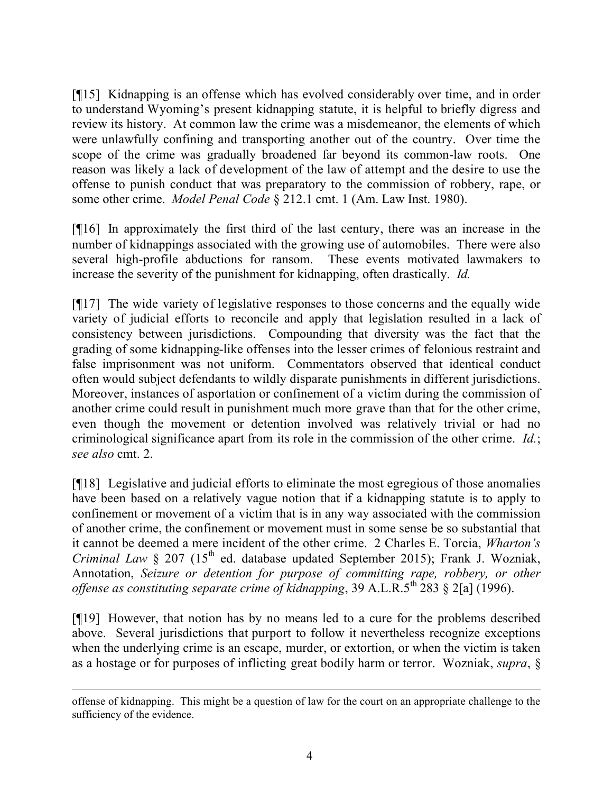[¶15] Kidnapping is an offense which has evolved considerably over time, and in order to understand Wyoming's present kidnapping statute, it is helpful to briefly digress and review its history. At common law the crime was a misdemeanor, the elements of which were unlawfully confining and transporting another out of the country. Over time the scope of the crime was gradually broadened far beyond its common-law roots. One reason was likely a lack of development of the law of attempt and the desire to use the offense to punish conduct that was preparatory to the commission of robbery, rape, or some other crime. *Model Penal Code* § 212.1 cmt. 1 (Am. Law Inst. 1980).

[¶16] In approximately the first third of the last century, there was an increase in the number of kidnappings associated with the growing use of automobiles. There were also several high-profile abductions for ransom. These events motivated lawmakers to increase the severity of the punishment for kidnapping, often drastically. *Id.*

[¶17] The wide variety of legislative responses to those concerns and the equally wide variety of judicial efforts to reconcile and apply that legislation resulted in a lack of consistency between jurisdictions. Compounding that diversity was the fact that the grading of some kidnapping-like offenses into the lesser crimes of felonious restraint and false imprisonment was not uniform. Commentators observed that identical conduct often would subject defendants to wildly disparate punishments in different jurisdictions. Moreover, instances of asportation or confinement of a victim during the commission of another crime could result in punishment much more grave than that for the other crime, even though the movement or detention involved was relatively trivial or had no criminological significance apart from its role in the commission of the other crime. *Id.*; *see also* cmt. 2.

[¶18] Legislative and judicial efforts to eliminate the most egregious of those anomalies have been based on a relatively vague notion that if a kidnapping statute is to apply to confinement or movement of a victim that is in any way associated with the commission of another crime, the confinement or movement must in some sense be so substantial that it cannot be deemed a mere incident of the other crime. 2 Charles E. Torcia, *Wharton's Criminal Law*  $\&$  207 (15<sup>th</sup> ed. database updated September 2015); Frank J. Wozniak, Annotation, *Seizure or detention for purpose of committing rape, robbery, or other offense as constituting separate crime of kidnapping*, 39 A.L.R.5<sup>th</sup> 283 § 2[a] (1996).

[¶19] However, that notion has by no means led to a cure for the problems described above. Several jurisdictions that purport to follow it nevertheless recognize exceptions when the underlying crime is an escape, murder, or extortion, or when the victim is taken as a hostage or for purposes of inflicting great bodily harm or terror. Wozniak, *supra*, §

offense of kidnapping. This might be a question of law for the court on an appropriate challenge to the sufficiency of the evidence.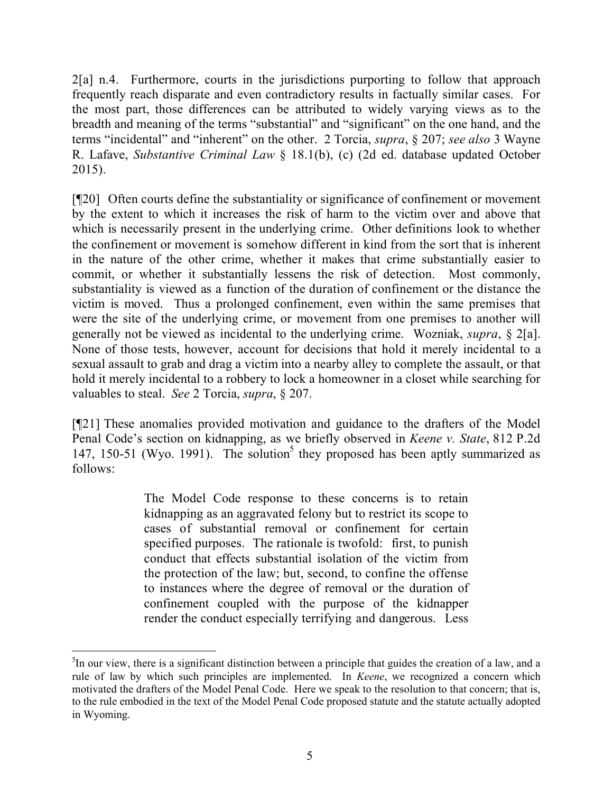2[a] n.4. Furthermore, courts in the jurisdictions purporting to follow that approach frequently reach disparate and even contradictory results in factually similar cases. For the most part, those differences can be attributed to widely varying views as to the breadth and meaning of the terms "substantial" and "significant" on the one hand, and the terms "incidental" and "inherent" on the other. 2 Torcia, *supra*, § 207; *see also* 3 Wayne R. Lafave, *Substantive Criminal Law* § 18.1(b), (c) (2d ed. database updated October 2015).

[¶20] Often courts define the substantiality or significance of confinement or movement by the extent to which it increases the risk of harm to the victim over and above that which is necessarily present in the underlying crime. Other definitions look to whether the confinement or movement is somehow different in kind from the sort that is inherent in the nature of the other crime, whether it makes that crime substantially easier to commit, or whether it substantially lessens the risk of detection. Most commonly, substantiality is viewed as a function of the duration of confinement or the distance the victim is moved. Thus a prolonged confinement, even within the same premises that were the site of the underlying crime, or movement from one premises to another will generally not be viewed as incidental to the underlying crime. Wozniak, *supra*, § 2[a]. None of those tests, however, account for decisions that hold it merely incidental to a sexual assault to grab and drag a victim into a nearby alley to complete the assault, or that hold it merely incidental to a robbery to lock a homeowner in a closet while searching for valuables to steal. *See* 2 Torcia, *supra*, § 207.

[¶21] These anomalies provided motivation and guidance to the drafters of the Model Penal Code's section on kidnapping, as we briefly observed in *Keene v. State*, 812 P.2d 147, 150-51 (Wyo. 1991). The solution<sup>5</sup> they proposed has been aptly summarized as follows:

> The Model Code response to these concerns is to retain kidnapping as an aggravated felony but to restrict its scope to cases of substantial removal or confinement for certain specified purposes. The rationale is twofold: first, to punish conduct that effects substantial isolation of the victim from the protection of the law; but, second, to confine the offense to instances where the degree of removal or the duration of confinement coupled with the purpose of the kidnapper render the conduct especially terrifying and dangerous. Less

<sup>&</sup>lt;sup>5</sup>In our view, there is a significant distinction between a principle that guides the creation of a law, and a rule of law by which such principles are implemented. In *Keene*, we recognized a concern which motivated the drafters of the Model Penal Code. Here we speak to the resolution to that concern; that is, to the rule embodied in the text of the Model Penal Code proposed statute and the statute actually adopted in Wyoming.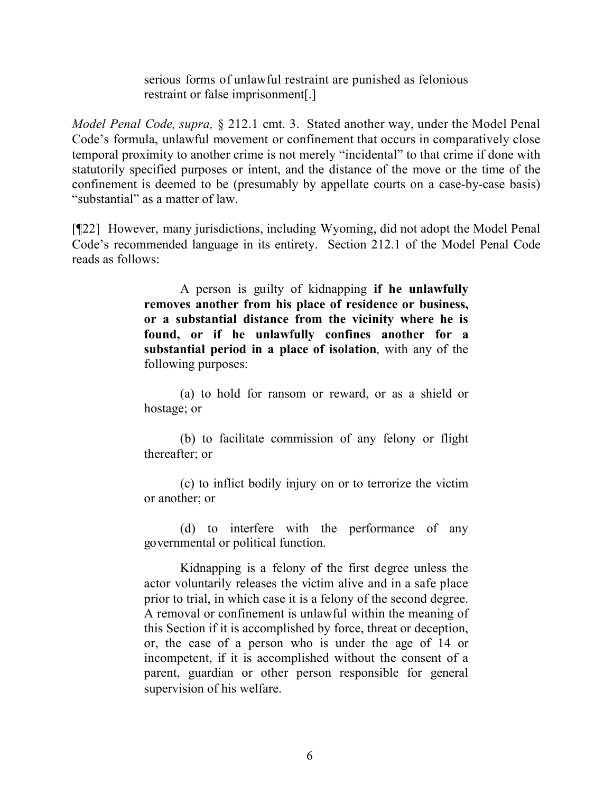serious forms of unlawful restraint are punished as felonious restraint or false imprisonment[.]

*Model Penal Code, supra,* § 212.1 cmt. 3. Stated another way, under the Model Penal Code's formula, unlawful movement or confinement that occurs in comparatively close temporal proximity to another crime is not merely "incidental" to that crime if done with statutorily specified purposes or intent, and the distance of the move or the time of the confinement is deemed to be (presumably by appellate courts on a case-by-case basis) "substantial" as a matter of law.

[¶22] However, many jurisdictions, including Wyoming, did not adopt the Model Penal Code's recommended language in its entirety. Section 212.1 of the Model Penal Code reads as follows:

> A person is guilty of kidnapping **if he unlawfully removes another from his place of residence or business, or a substantial distance from the vicinity where he is found, or if he unlawfully confines another for a substantial period in a place of isolation**, with any of the following purposes:

> (a) to hold for ransom or reward, or as a shield or hostage; or

> (b) to facilitate commission of any felony or flight thereafter; or

> (c) to inflict bodily injury on or to terrorize the victim or another; or

> (d) to interfere with the performance of any governmental or political function.

> Kidnapping is a felony of the first degree unless the actor voluntarily releases the victim alive and in a safe place prior to trial, in which case it is a felony of the second degree. A removal or confinement is unlawful within the meaning of this Section if it is accomplished by force, threat or deception, or, the case of a person who is under the age of 14 or incompetent, if it is accomplished without the consent of a parent, guardian or other person responsible for general supervision of his welfare.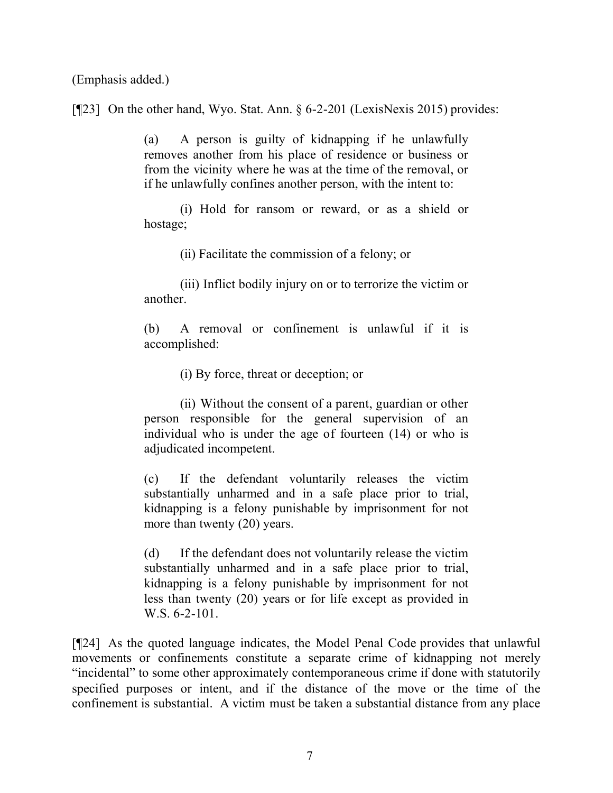(Emphasis added.)

[¶23] On the other hand, Wyo. Stat. Ann. § 6-2-201 (LexisNexis 2015) provides:

(a) A person is guilty of kidnapping if he unlawfully removes another from his place of residence or business or from the vicinity where he was at the time of the removal, or if he unlawfully confines another person, with the intent to:

(i) Hold for ransom or reward, or as a shield or hostage;

(ii) Facilitate the commission of a felony; or

(iii) Inflict bodily injury on or to terrorize the victim or another.

(b) A removal or confinement is unlawful if it is accomplished:

(i) By force, threat or deception; or

(ii) Without the consent of a parent, guardian or other person responsible for the general supervision of an individual who is under the age of fourteen (14) or who is adjudicated incompetent.

(c) If the defendant voluntarily releases the victim substantially unharmed and in a safe place prior to trial, kidnapping is a felony punishable by imprisonment for not more than twenty (20) years.

(d) If the defendant does not voluntarily release the victim substantially unharmed and in a safe place prior to trial, kidnapping is a felony punishable by imprisonment for not less than twenty (20) years or for life except as provided in W.S. 6-2-101.

[¶24] As the quoted language indicates, the Model Penal Code provides that unlawful movements or confinements constitute a separate crime of kidnapping not merely "incidental" to some other approximately contemporaneous crime if done with statutorily specified purposes or intent, and if the distance of the move or the time of the confinement is substantial. A victim must be taken a substantial distance from any place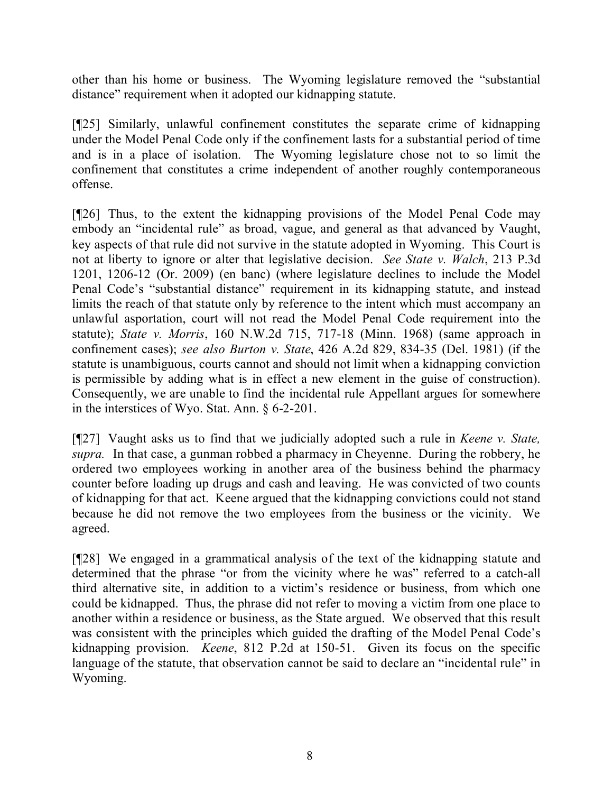other than his home or business. The Wyoming legislature removed the "substantial distance" requirement when it adopted our kidnapping statute.

[¶25] Similarly, unlawful confinement constitutes the separate crime of kidnapping under the Model Penal Code only if the confinement lasts for a substantial period of time and is in a place of isolation. The Wyoming legislature chose not to so limit the confinement that constitutes a crime independent of another roughly contemporaneous offense.

[¶26] Thus, to the extent the kidnapping provisions of the Model Penal Code may embody an "incidental rule" as broad, vague, and general as that advanced by Vaught, key aspects of that rule did not survive in the statute adopted in Wyoming. This Court is not at liberty to ignore or alter that legislative decision. *See State v. Walch*, 213 P.3d 1201, 1206-12 (Or. 2009) (en banc) (where legislature declines to include the Model Penal Code's "substantial distance" requirement in its kidnapping statute, and instead limits the reach of that statute only by reference to the intent which must accompany an unlawful asportation, court will not read the Model Penal Code requirement into the statute); *State v. Morris*, 160 N.W.2d 715, 717-18 (Minn. 1968) (same approach in confinement cases); *see also Burton v. State*, 426 A.2d 829, 834-35 (Del. 1981) (if the statute is unambiguous, courts cannot and should not limit when a kidnapping conviction is permissible by adding what is in effect a new element in the guise of construction). Consequently, we are unable to find the incidental rule Appellant argues for somewhere in the interstices of Wyo. Stat. Ann. § 6-2-201.

[¶27] Vaught asks us to find that we judicially adopted such a rule in *Keene v. State, supra.* In that case, a gunman robbed a pharmacy in Cheyenne. During the robbery, he ordered two employees working in another area of the business behind the pharmacy counter before loading up drugs and cash and leaving. He was convicted of two counts of kidnapping for that act. Keene argued that the kidnapping convictions could not stand because he did not remove the two employees from the business or the vicinity. We agreed.

[¶28] We engaged in a grammatical analysis of the text of the kidnapping statute and determined that the phrase "or from the vicinity where he was" referred to a catch-all third alternative site, in addition to a victim's residence or business, from which one could be kidnapped. Thus, the phrase did not refer to moving a victim from one place to another within a residence or business, as the State argued. We observed that this result was consistent with the principles which guided the drafting of the Model Penal Code's kidnapping provision. *Keene*, 812 P.2d at 150-51. Given its focus on the specific language of the statute, that observation cannot be said to declare an "incidental rule" in Wyoming.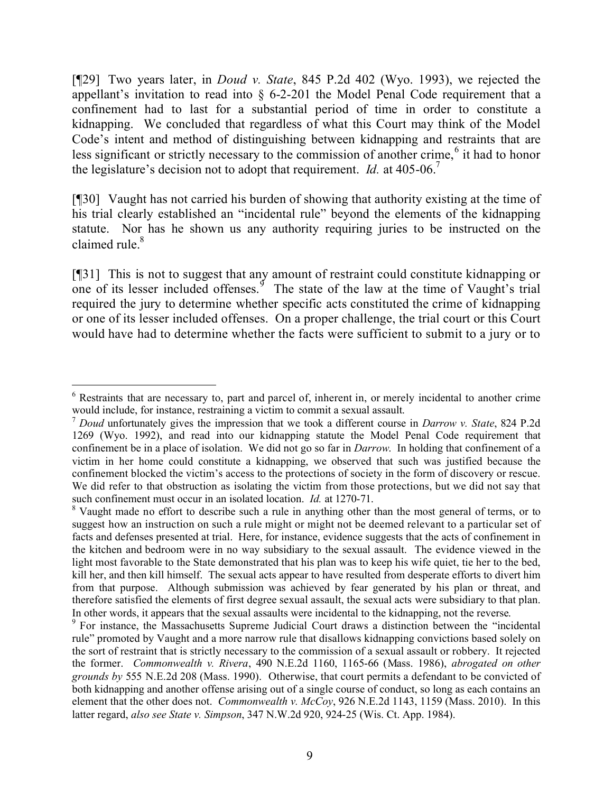[¶29] Two years later, in *Doud v. State*, 845 P.2d 402 (Wyo. 1993), we rejected the appellant's invitation to read into  $\S$  6-2-201 the Model Penal Code requirement that a confinement had to last for a substantial period of time in order to constitute a kidnapping. We concluded that regardless of what this Court may think of the Model Code's intent and method of distinguishing between kidnapping and restraints that are less significant or strictly necessary to the commission of another crime,<sup>6</sup> it had to honor the legislature's decision not to adopt that requirement. *Id.* at 405-06.<sup>7</sup>

[¶30] Vaught has not carried his burden of showing that authority existing at the time of his trial clearly established an "incidental rule" beyond the elements of the kidnapping statute. Nor has he shown us any authority requiring juries to be instructed on the claimed rule. $8$ 

[¶31] This is not to suggest that any amount of restraint could constitute kidnapping or one of its lesser included offenses. <sup> $\frac{3}{2}$ </sup> The state of the law at the time of Vaught's trial required the jury to determine whether specific acts constituted the crime of kidnapping or one of its lesser included offenses. On a proper challenge, the trial court or this Court would have had to determine whether the facts were sufficient to submit to a jury or to

<sup>6</sup> Restraints that are necessary to, part and parcel of, inherent in, or merely incidental to another crime would include, for instance, restraining a victim to commit a sexual assault.

<sup>7</sup> *Doud* unfortunately gives the impression that we took a different course in *Darrow v. State*, 824 P.2d 1269 (Wyo. 1992), and read into our kidnapping statute the Model Penal Code requirement that confinement be in a place of isolation. We did not go so far in *Darrow*. In holding that confinement of a victim in her home could constitute a kidnapping, we observed that such was justified because the confinement blocked the victim's access to the protections of society in the form of discovery or rescue. We did refer to that obstruction as isolating the victim from those protections, but we did not say that such confinement must occur in an isolated location. *Id.* at 1270-71.

<sup>&</sup>lt;sup>8</sup> Vaught made no effort to describe such a rule in anything other than the most general of terms, or to suggest how an instruction on such a rule might or might not be deemed relevant to a particular set of facts and defenses presented at trial. Here, for instance, evidence suggests that the acts of confinement in the kitchen and bedroom were in no way subsidiary to the sexual assault. The evidence viewed in the light most favorable to the State demonstrated that his plan was to keep his wife quiet, tie her to the bed, kill her, and then kill himself. The sexual acts appear to have resulted from desperate efforts to divert him from that purpose. Although submission was achieved by fear generated by his plan or threat, and therefore satisfied the elements of first degree sexual assault, the sexual acts were subsidiary to that plan. In other words, it appears that the sexual assaults were incidental to the kidnapping, not the reverse.

<sup>&</sup>lt;sup>9</sup> For instance, the Massachusetts Supreme Judicial Court draws a distinction between the "incidental" rule" promoted by Vaught and a more narrow rule that disallows kidnapping convictions based solely on the sort of restraint that is strictly necessary to the commission of a sexual assault or robbery. It rejected the former. *Commonwealth v. Rivera*, 490 N.E.2d 1160, 1165-66 (Mass. 1986), *abrogated on other grounds by* 555 N.E.2d 208 (Mass. 1990). Otherwise, that court permits a defendant to be convicted of both kidnapping and another offense arising out of a single course of conduct, so long as each contains an element that the other does not. *Commonwealth v. McCoy*, 926 N.E.2d 1143, 1159 (Mass. 2010). In this latter regard, *also see State v. Simpson*, 347 N.W.2d 920, 924-25 (Wis. Ct. App. 1984).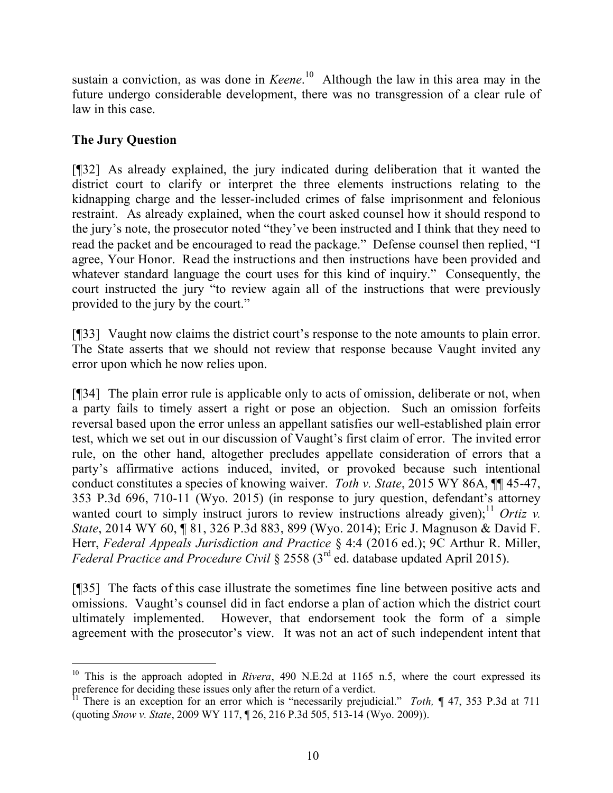sustain a conviction, as was done in *Keene*. 10 Although the law in this area may in the future undergo considerable development, there was no transgression of a clear rule of law in this case.

# **The Jury Question**

 $\overline{a}$ 

[¶32] As already explained, the jury indicated during deliberation that it wanted the district court to clarify or interpret the three elements instructions relating to the kidnapping charge and the lesser-included crimes of false imprisonment and felonious restraint. As already explained, when the court asked counsel how it should respond to the jury's note, the prosecutor noted "they've been instructed and I think that they need to read the packet and be encouraged to read the package." Defense counsel then replied, "I agree, Your Honor. Read the instructions and then instructions have been provided and whatever standard language the court uses for this kind of inquiry." Consequently, the court instructed the jury "to review again all of the instructions that were previously provided to the jury by the court."

[¶33] Vaught now claims the district court's response to the note amounts to plain error. The State asserts that we should not review that response because Vaught invited any error upon which he now relies upon.

[¶34] The plain error rule is applicable only to acts of omission, deliberate or not, when a party fails to timely assert a right or pose an objection. Such an omission forfeits reversal based upon the error unless an appellant satisfies our well-established plain error test, which we set out in our discussion of Vaught's first claim of error. The invited error rule, on the other hand, altogether precludes appellate consideration of errors that a party's affirmative actions induced, invited, or provoked because such intentional conduct constitutes a species of knowing waiver. *Toth v. State*, 2015 WY 86A, ¶¶ 45-47, 353 P.3d 696, 710-11 (Wyo. 2015) (in response to jury question, defendant's attorney wanted court to simply instruct jurors to review instructions already given);<sup>11</sup> *Ortiz v. State*, 2014 WY 60, ¶ 81, 326 P.3d 883, 899 (Wyo. 2014); Eric J. Magnuson & David F. Herr, *Federal Appeals Jurisdiction and Practice* § 4:4 (2016 ed.); 9C Arthur R. Miller, *Federal Practice and Procedure Civil* § 2558 (3rd ed. database updated April 2015).

[¶35] The facts of this case illustrate the sometimes fine line between positive acts and omissions. Vaught's counsel did in fact endorse a plan of action which the district court ultimately implemented. However, that endorsement took the form of a simple agreement with the prosecutor's view. It was not an act of such independent intent that

<sup>&</sup>lt;sup>10</sup> This is the approach adopted in *Rivera*, 490 N.E.2d at 1165 n.5, where the court expressed its preference for deciding these issues only after the return of a verdict.

<sup>11</sup> There is an exception for an error which is "necessarily prejudicial." *Toth,* ¶ 47, 353 P.3d at 711 (quoting *Snow v. State*, 2009 WY 117, ¶ 26, 216 P.3d 505, 513-14 (Wyo. 2009)).